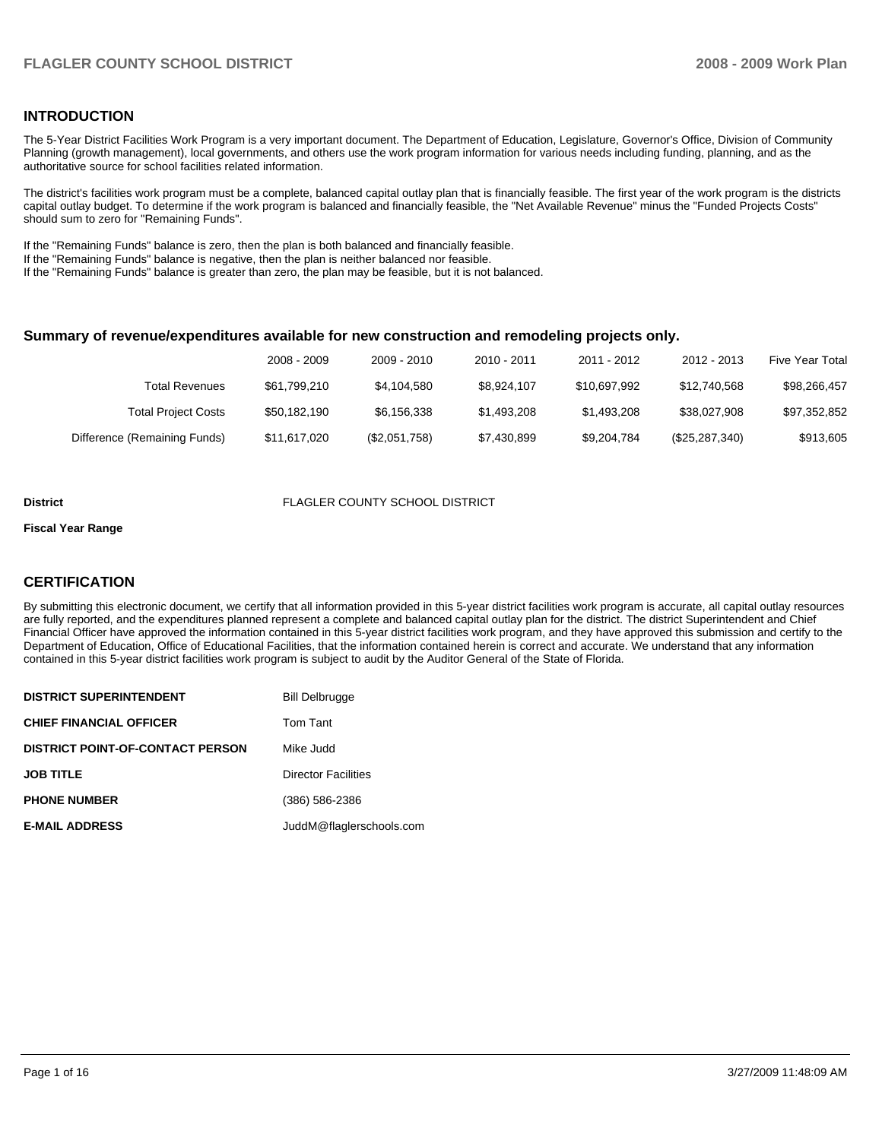## **INTRODUCTION**

The 5-Year District Facilities Work Program is a very important document. The Department of Education, Legislature, Governor's Office, Division of Community Planning (growth management), local governments, and others use the work program information for various needs including funding, planning, and as the authoritative source for school facilities related information.

The district's facilities work program must be a complete, balanced capital outlay plan that is financially feasible. The first year of the work program is the districts capital outlay budget. To determine if the work program is balanced and financially feasible, the "Net Available Revenue" minus the "Funded Projects Costs" should sum to zero for "Remaining Funds".

If the "Remaining Funds" balance is zero, then the plan is both balanced and financially feasible.

If the "Remaining Funds" balance is negative, then the plan is neither balanced nor feasible.

If the "Remaining Funds" balance is greater than zero, the plan may be feasible, but it is not balanced.

#### **Summary of revenue/expenditures available for new construction and remodeling projects only.**

| <b>Five Year Total</b> | 2012 - 2013    | 2011 - 2012  | 2010 - 2011 | 2009 - 2010   | 2008 - 2009  |                              |
|------------------------|----------------|--------------|-------------|---------------|--------------|------------------------------|
| \$98,266,457           | \$12.740.568   | \$10.697.992 | \$8,924,107 | \$4,104,580   | \$61,799,210 | Total Revenues               |
| \$97,352,852           | \$38.027.908   | \$1,493,208  | \$1,493,208 | \$6,156,338   | \$50,182,190 | <b>Total Project Costs</b>   |
| \$913,605              | (\$25,287,340) | \$9,204,784  | \$7,430,899 | (\$2,051,758) | \$11,617,020 | Difference (Remaining Funds) |

#### **District** FLAGLER COUNTY SCHOOL DISTRICT

#### **Fiscal Year Range**

### **CERTIFICATION**

By submitting this electronic document, we certify that all information provided in this 5-year district facilities work program is accurate, all capital outlay resources are fully reported, and the expenditures planned represent a complete and balanced capital outlay plan for the district. The district Superintendent and Chief Financial Officer have approved the information contained in this 5-year district facilities work program, and they have approved this submission and certify to the Department of Education, Office of Educational Facilities, that the information contained herein is correct and accurate. We understand that any information contained in this 5-year district facilities work program is subject to audit by the Auditor General of the State of Florida.

| <b>DISTRICT SUPERINTENDENT</b>          | <b>Bill Delbrugge</b>      |
|-----------------------------------------|----------------------------|
| <b>CHIEF FINANCIAL OFFICER</b>          | Tom Tant                   |
| <b>DISTRICT POINT-OF-CONTACT PERSON</b> | Mike Judd                  |
| <b>JOB TITLE</b>                        | <b>Director Facilities</b> |
| <b>PHONE NUMBER</b>                     | (386) 586-2386             |
| <b>E-MAIL ADDRESS</b>                   | JuddM@flaglerschools.com   |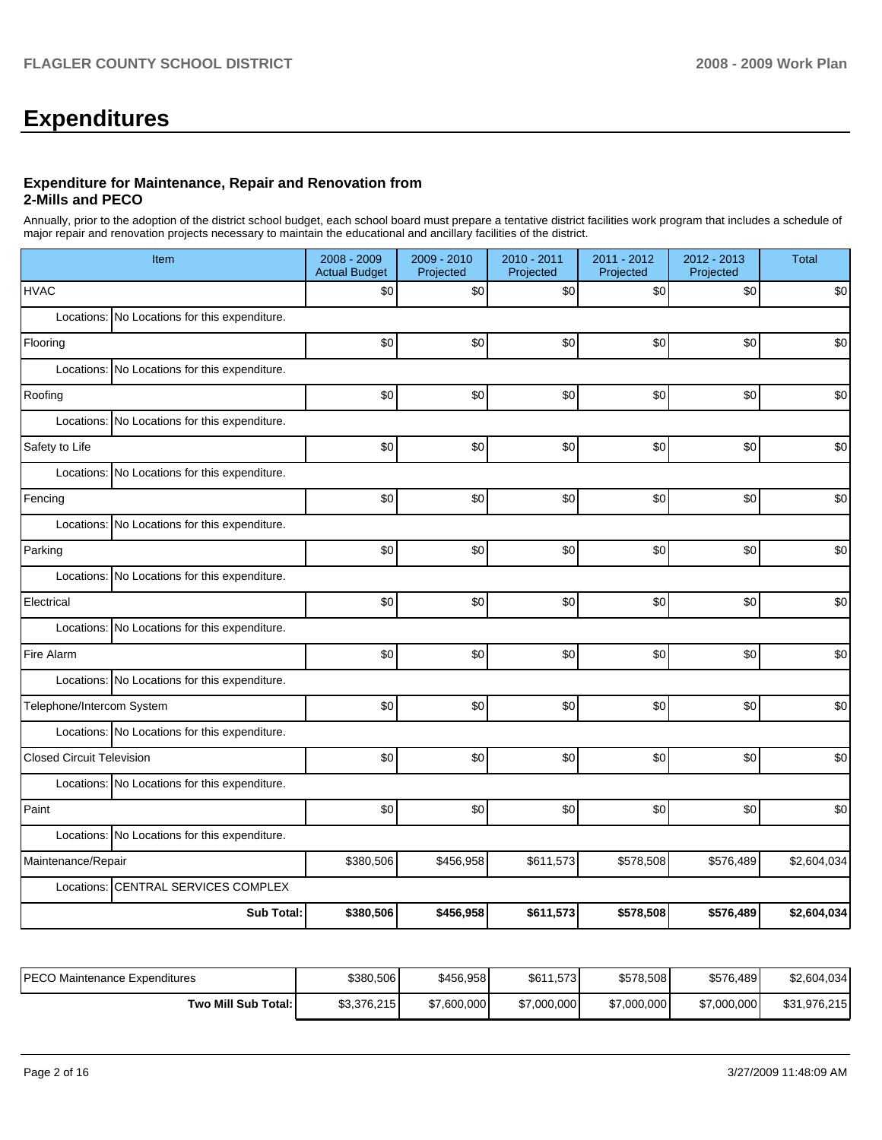# **Expenditures**

#### **Expenditure for Maintenance, Repair and Renovation from 2-Mills and PECO**

Annually, prior to the adoption of the district school budget, each school board must prepare a tentative district facilities work program that includes a schedule of major repair and renovation projects necessary to maintain the educational and ancillary facilities of the district.

| Item                                          | 2008 - 2009<br><b>Actual Budget</b> | 2009 - 2010<br>Projected | 2010 - 2011<br>Projected | 2011 - 2012<br>Projected | 2012 - 2013<br>Projected | <b>Total</b> |
|-----------------------------------------------|-------------------------------------|--------------------------|--------------------------|--------------------------|--------------------------|--------------|
| <b>HVAC</b>                                   | \$0                                 | \$0                      | \$0                      | \$0                      | \$0                      | \$0          |
| Locations: No Locations for this expenditure. |                                     |                          |                          |                          |                          |              |
| Flooring                                      | \$0                                 | \$0                      | \$0                      | \$0                      | \$0                      | \$0          |
| Locations: No Locations for this expenditure. |                                     |                          |                          |                          |                          |              |
| Roofing                                       | \$0                                 | \$0                      | \$0                      | \$0                      | \$0                      | \$0          |
| Locations: No Locations for this expenditure. |                                     |                          |                          |                          |                          |              |
| Safety to Life                                | \$0                                 | \$0                      | \$0                      | \$0                      | \$0                      | \$0          |
| Locations: No Locations for this expenditure. |                                     |                          |                          |                          |                          |              |
| Fencing                                       | \$0                                 | \$0                      | \$0                      | \$0                      | \$0                      | \$0          |
| Locations: No Locations for this expenditure. |                                     |                          |                          |                          |                          |              |
| Parking                                       | \$0                                 | \$0                      | \$0                      | \$0                      | \$0                      | \$0          |
| Locations: No Locations for this expenditure. |                                     |                          |                          |                          |                          |              |
| Electrical                                    | \$0                                 | \$0                      | \$0                      | \$0                      | \$0                      | \$0          |
| Locations: No Locations for this expenditure. |                                     |                          |                          |                          |                          |              |
| Fire Alarm                                    | \$0                                 | \$0                      | \$0                      | \$0                      | \$0                      | \$0          |
| Locations: No Locations for this expenditure. |                                     |                          |                          |                          |                          |              |
| Telephone/Intercom System                     | \$0                                 | \$0                      | \$0                      | \$0                      | \$0                      | \$0          |
| Locations: No Locations for this expenditure. |                                     |                          |                          |                          |                          |              |
| <b>Closed Circuit Television</b>              | \$0                                 | \$0                      | \$0                      | \$0                      | \$0                      | \$0          |
| Locations: No Locations for this expenditure. |                                     |                          |                          |                          |                          |              |
| Paint                                         | \$0                                 | \$0                      | \$0                      | \$0                      | \$0                      | \$0          |
| Locations: No Locations for this expenditure. |                                     |                          |                          |                          |                          |              |
| Maintenance/Repair                            | \$380,506                           | \$456,958                | \$611,573                | \$578,508                | \$576,489                | \$2,604,034  |
| Locations: CENTRAL SERVICES COMPLEX           |                                     |                          |                          |                          |                          |              |
| <b>Sub Total:</b>                             | \$380,506                           | \$456,958                | \$611,573                | \$578,508                | \$576,489                | \$2,604,034  |

| IPECO Maintenance Expenditures | \$380,506   | \$456,958   | \$611,573]  | \$578,508   | \$576,489   | \$2,604,034  |
|--------------------------------|-------------|-------------|-------------|-------------|-------------|--------------|
| Two Mill Sub Total:            | \$3,376,215 | \$7,600,000 | \$7,000,000 | \$7,000,000 | \$7,000,000 | \$31,976,215 |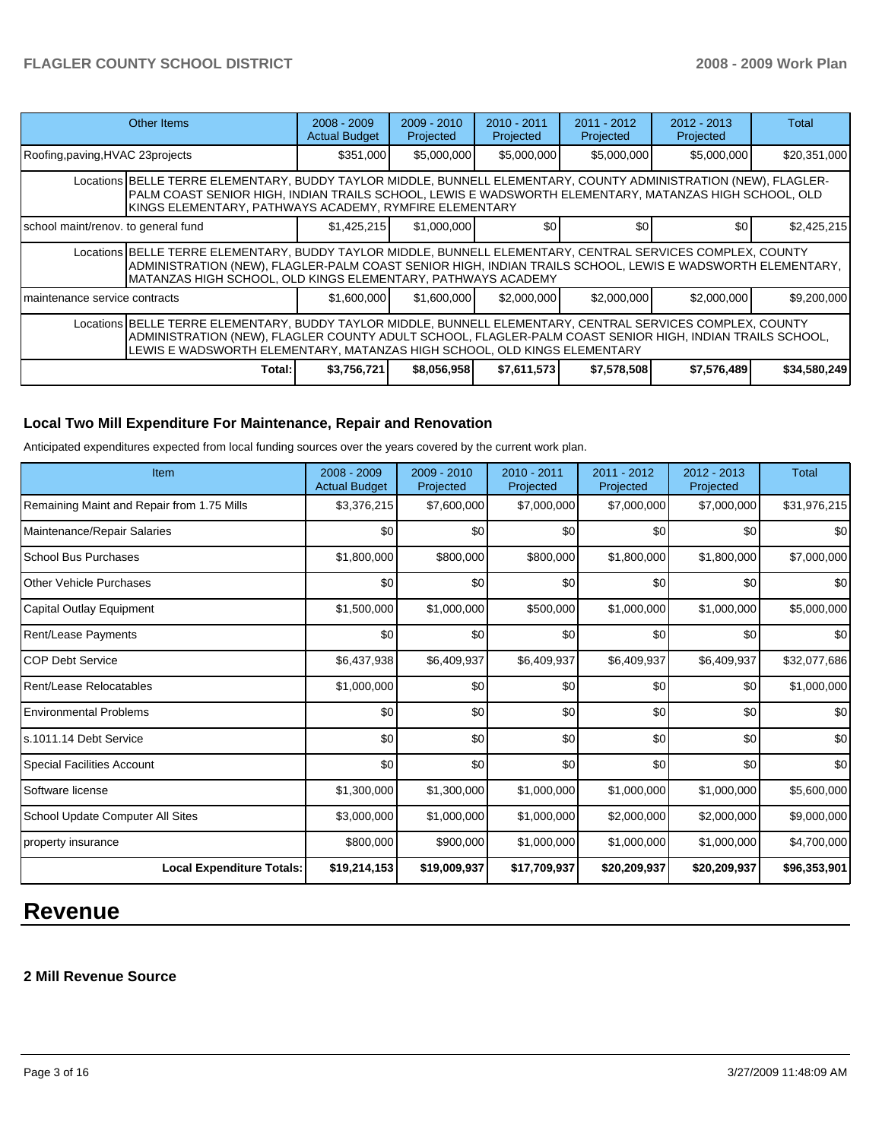| Other Items                                                                                                                                                                                                                                                                                         | $2008 - 2009$<br><b>Actual Budget</b> | $2009 - 2010$<br>Projected | $2010 - 2011$<br>Projected | $2011 - 2012$<br>Projected | $2012 - 2013$<br>Projected | Total        |  |  |  |
|-----------------------------------------------------------------------------------------------------------------------------------------------------------------------------------------------------------------------------------------------------------------------------------------------------|---------------------------------------|----------------------------|----------------------------|----------------------------|----------------------------|--------------|--|--|--|
| Roofing, paving, HVAC 23 projects                                                                                                                                                                                                                                                                   | \$351,000                             | \$5,000,000                | \$5,000,000                | \$5,000,000                | \$5,000,000                | \$20,351,000 |  |  |  |
| Locations BELLE TERRE ELEMENTARY, BUDDY TAYLOR MIDDLE, BUNNELL ELEMENTARY, COUNTY ADMINISTRATION (NEW), FLAGLER-<br>PALM COAST SENIOR HIGH, INDIAN TRAILS SCHOOL, LEWIS E WADSWORTH ELEMENTARY, MATANZAS HIGH SCHOOL, OLD<br>KINGS ELEMENTARY, PATHWAYS ACADEMY, RYMFIRE ELEMENTARY                 |                                       |                            |                            |                            |                            |              |  |  |  |
| school maint/renov. to general fund                                                                                                                                                                                                                                                                 | \$1,425,215                           | \$1,000,000                | \$0 <sub>1</sub>           | \$0                        | \$0                        | \$2,425,215  |  |  |  |
| Locations BELLE TERRE ELEMENTARY, BUDDY TAYLOR MIDDLE, BUNNELL ELEMENTARY, CENTRAL SERVICES COMPLEX, COUNTY<br>ADMINISTRATION (NEW), FLAGLER-PALM COAST SENIOR HIGH, INDIAN TRAILS SCHOOL, LEWIS E WADSWORTH ELEMENTARY,<br>MATANZAS HIGH SCHOOL, OLD KINGS ELEMENTARY, PATHWAYS ACADEMY            |                                       |                            |                            |                            |                            |              |  |  |  |
| maintenance service contracts                                                                                                                                                                                                                                                                       | \$1,600,000                           | \$1,600,000                | \$2,000,000                | \$2,000,000                | \$2,000,000                | \$9,200,000  |  |  |  |
| Locations BELLE TERRE ELEMENTARY, BUDDY TAYLOR MIDDLE, BUNNELL ELEMENTARY, CENTRAL SERVICES COMPLEX, COUNTY<br>ADMINISTRATION (NEW), FLAGLER COUNTY ADULT SCHOOL, FLAGLER-PALM COAST SENIOR HIGH, INDIAN TRAILS SCHOOL,<br>LEWIS E WADSWORTH ELEMENTARY, MATANZAS HIGH SCHOOL, OLD KINGS ELEMENTARY |                                       |                            |                            |                            |                            |              |  |  |  |
| Total:                                                                                                                                                                                                                                                                                              | \$3,756,721                           | \$8,056,958                | \$7,611,573                | \$7,578,508                | \$7,576,489                | \$34,580,249 |  |  |  |

# **Local Two Mill Expenditure For Maintenance, Repair and Renovation**

Anticipated expenditures expected from local funding sources over the years covered by the current work plan.

| Item                                       | $2008 - 2009$<br><b>Actual Budget</b> | $2009 - 2010$<br>Projected | $2010 - 2011$<br>Projected | 2011 - 2012<br>Projected | $2012 - 2013$<br>Projected | Total            |
|--------------------------------------------|---------------------------------------|----------------------------|----------------------------|--------------------------|----------------------------|------------------|
| Remaining Maint and Repair from 1.75 Mills | \$3,376,215                           | \$7,600,000                | \$7,000,000                | \$7,000,000              | \$7,000,000                | \$31,976,215     |
| Maintenance/Repair Salaries                | \$0                                   | \$0                        | \$0                        | \$0                      | \$0                        | \$0              |
| <b>School Bus Purchases</b>                | \$1,800,000                           | \$800,000                  | \$800,000                  | \$1,800,000              | \$1,800,000                | \$7,000,000      |
| <b>Other Vehicle Purchases</b>             | \$0                                   | \$0                        | \$0                        | \$0                      | \$0                        | \$0              |
| Capital Outlay Equipment                   | \$1,500,000                           | \$1,000,000                | \$500,000                  | \$1,000,000              | \$1,000,000                | \$5,000,000      |
| Rent/Lease Payments                        | \$0                                   | \$0                        | \$0                        | \$0                      | \$0                        | \$0              |
| <b>COP Debt Service</b>                    | \$6,437,938                           | \$6,409,937                | \$6,409,937                | \$6,409,937              | \$6,409,937                | \$32,077,686     |
| Rent/Lease Relocatables                    | \$1,000,000                           | \$0                        | \$0                        | \$0                      | \$0                        | \$1,000,000      |
| <b>Environmental Problems</b>              | \$0                                   | \$0                        | \$0                        | \$0                      | \$0                        | \$0              |
| ls.1011.14 Debt Service                    | \$0                                   | \$0                        | \$0                        | \$0                      | \$0                        | \$0              |
| <b>Special Facilities Account</b>          | \$0                                   | \$0                        | \$0                        | \$0                      | \$0                        | \$0 <sub>1</sub> |
| Software license                           | \$1,300,000                           | \$1,300,000                | \$1,000,000                | \$1,000,000              | \$1,000,000                | \$5,600,000      |
| School Update Computer All Sites           | \$3,000,000                           | \$1,000,000                | \$1,000,000                | \$2,000,000              | \$2,000,000                | \$9,000,000      |
| property insurance                         | \$800,000                             | \$900,000                  | \$1,000,000                | \$1,000,000              | \$1,000,000                | \$4,700,000      |
| <b>Local Expenditure Totals:</b>           | \$19,214,153                          | \$19,009,937               | \$17,709,937               | \$20,209,937             | \$20,209,937               | \$96,353,901     |

# **Revenue**

# **2 Mill Revenue Source**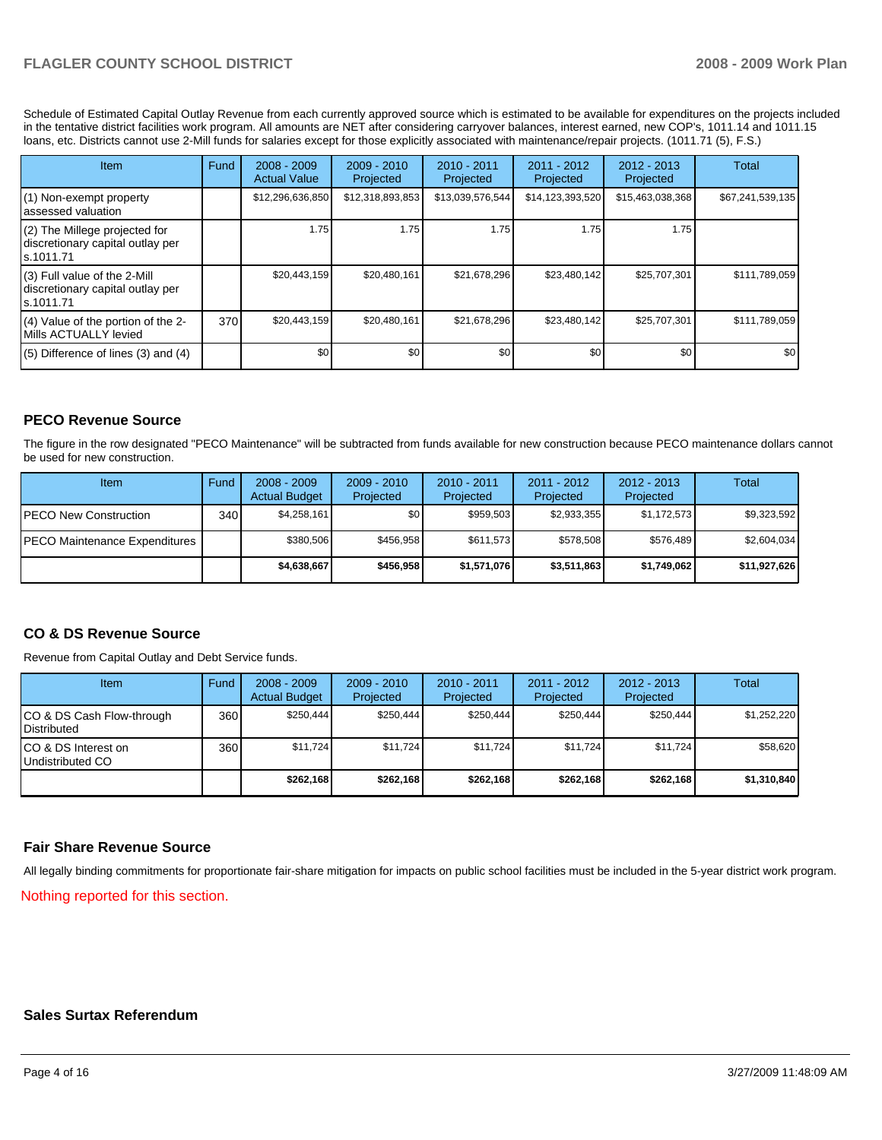# FLAGLER COUNTY SCHOOL DISTRICT **2008 - 2009 Work Plan**

Schedule of Estimated Capital Outlay Revenue from each currently approved source which is estimated to be available for expenditures on the projects included in the tentative district facilities work program. All amounts are NET after considering carryover balances, interest earned, new COP's, 1011.14 and 1011.15 loans, etc. Districts cannot use 2-Mill funds for salaries except for those explicitly associated with maintenance/repair projects. (1011.71 (5), F.S.)

| Item                                                                              | Fund | $2008 - 2009$<br><b>Actual Value</b> | $2009 - 2010$<br>Projected | $2010 - 2011$<br>Projected | 2011 - 2012<br>Projected | $2012 - 2013$<br>Projected | Total            |
|-----------------------------------------------------------------------------------|------|--------------------------------------|----------------------------|----------------------------|--------------------------|----------------------------|------------------|
| (1) Non-exempt property<br>lassessed valuation                                    |      | \$12,296,636,850                     | \$12,318,893,853           | \$13,039,576,544           | \$14,123,393,520         | \$15,463,038,368           | \$67,241,539,135 |
| $(2)$ The Millege projected for<br>discretionary capital outlay per<br>Is.1011.71 |      | 1.75                                 | 1.75                       | 1.75                       | 1.75                     | 1.75                       |                  |
| $(3)$ Full value of the 2-Mill<br>discretionary capital outlay per<br>ls.1011.71  |      | \$20,443,159                         | \$20,480,161               | \$21,678,296               | \$23,480,142             | \$25,707,301               | \$111,789,059    |
| $(4)$ Value of the portion of the 2-<br>Mills ACTUALLY levied                     | 370  | \$20,443,159                         | \$20,480,161               | \$21,678,296               | \$23,480,142             | \$25,707,301               | \$111,789,059    |
| $(5)$ Difference of lines $(3)$ and $(4)$                                         |      | \$0                                  | \$0                        | \$0                        | \$0 <sub>1</sub>         | \$0                        | \$0              |

## **PECO Revenue Source**

The figure in the row designated "PECO Maintenance" will be subtracted from funds available for new construction because PECO maintenance dollars cannot be used for new construction.

| Item                                 | Fund             | $2008 - 2009$<br><b>Actual Budget</b> | $2009 - 2010$<br>Projected | $2010 - 2011$<br>Projected | $2011 - 2012$<br>Projected | $2012 - 2013$<br>Projected | Total        |
|--------------------------------------|------------------|---------------------------------------|----------------------------|----------------------------|----------------------------|----------------------------|--------------|
| <b>IPECO New Construction</b>        | 340 <sub>l</sub> | \$4,258,161                           | \$0 <sub>1</sub>           | \$959.503                  | \$2.933.355                | \$1,172,573                | \$9,323,592  |
| <b>PECO Maintenance Expenditures</b> |                  | \$380,506                             | \$456,958                  | \$611.573                  | \$578.508                  | \$576,489                  | \$2,604,034  |
|                                      |                  | \$4,638,667                           | \$456.958                  | \$1,571,076                | \$3,511,863                | \$1.749.062                | \$11,927,626 |

### **CO & DS Revenue Source**

Revenue from Capital Outlay and Debt Service funds.

| Item                                               | Fund | $2008 - 2009$<br><b>Actual Budget</b> | $2009 - 2010$<br>Projected | $2010 - 2011$<br>Projected | 2011 - 2012<br>Projected | $2012 - 2013$<br>Projected | Total       |
|----------------------------------------------------|------|---------------------------------------|----------------------------|----------------------------|--------------------------|----------------------------|-------------|
| ICO & DS Cash Flow-through<br><b>I</b> Distributed | 360  | \$250.444                             | \$250.444                  | \$250.444                  | \$250.444                | \$250.444                  | \$1,252,220 |
| ICO & DS Interest on<br>Undistributed CO           | 360  | \$11.724                              | \$11,724                   | \$11.724                   | \$11.724                 | \$11.724                   | \$58,620    |
|                                                    |      | \$262,168                             | \$262.168                  | \$262.168                  | \$262.168                | \$262.168                  | \$1,310,840 |

### **Fair Share Revenue Source**

All legally binding commitments for proportionate fair-share mitigation for impacts on public school facilities must be included in the 5-year district work program. Nothing reported for this section.

#### **Sales Surtax Referendum**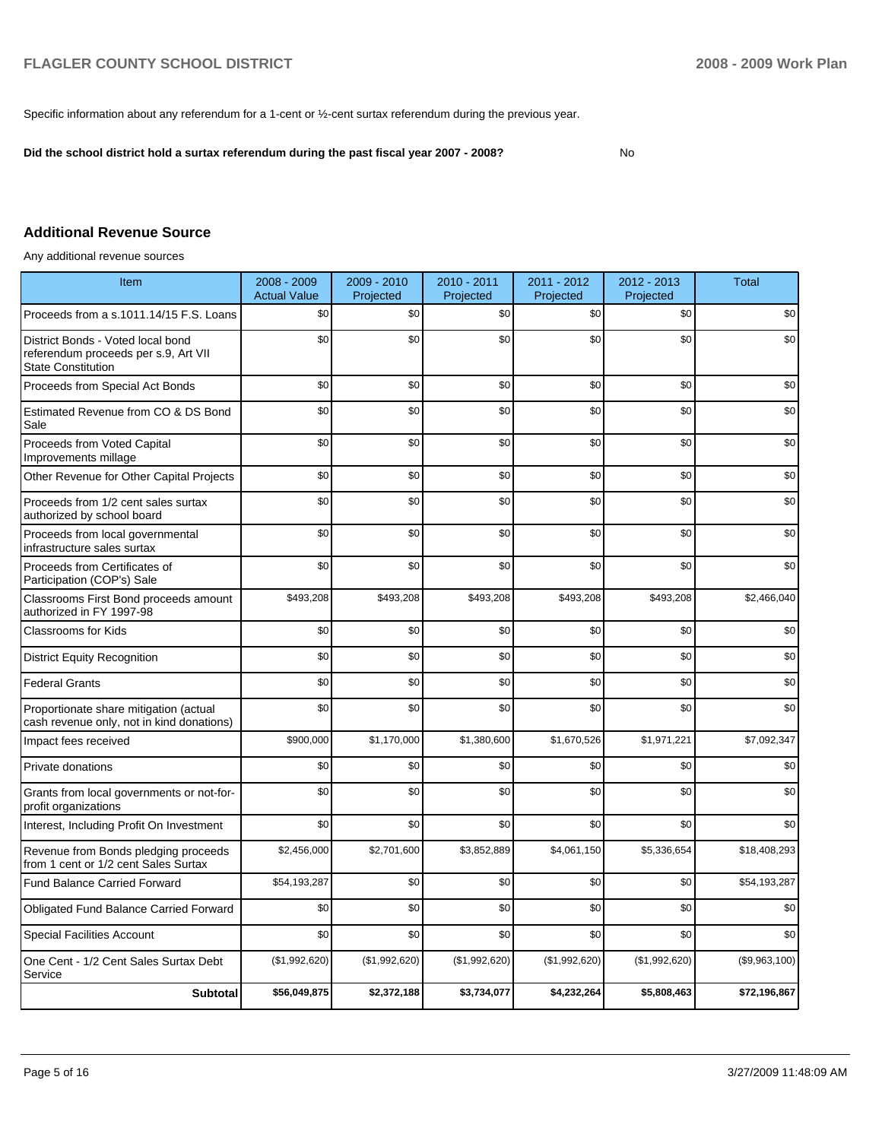Specific information about any referendum for a 1-cent or  $\frac{1}{2}$ -cent surtax referendum during the previous year.

**Did the school district hold a surtax referendum during the past fiscal year 2007 - 2008?** No

# **Additional Revenue Source**

Any additional revenue sources

| Item                                                                                                   | 2008 - 2009<br><b>Actual Value</b> | 2009 - 2010<br>Projected | 2010 - 2011<br>Projected | 2011 - 2012<br>Projected | 2012 - 2013<br>Projected | <b>Total</b>  |
|--------------------------------------------------------------------------------------------------------|------------------------------------|--------------------------|--------------------------|--------------------------|--------------------------|---------------|
| Proceeds from a s.1011.14/15 F.S. Loans                                                                | \$0                                | \$0                      | \$0                      | \$0                      | \$0                      | \$0           |
| District Bonds - Voted local bond<br>referendum proceeds per s.9, Art VII<br><b>State Constitution</b> | \$0                                | \$0                      | \$0                      | \$0                      | \$0                      | \$0           |
| Proceeds from Special Act Bonds                                                                        | \$0                                | \$0                      | \$0                      | \$0                      | \$0                      | \$0           |
| Estimated Revenue from CO & DS Bond<br>Sale                                                            | \$0                                | \$0                      | \$0                      | \$0                      | \$0                      | \$0           |
| Proceeds from Voted Capital<br>Improvements millage                                                    | \$0                                | \$0                      | \$0                      | \$0                      | \$0                      | \$0           |
| Other Revenue for Other Capital Projects                                                               | \$0                                | \$0                      | \$0                      | \$0                      | \$0                      | \$0           |
| Proceeds from 1/2 cent sales surtax<br>authorized by school board                                      | \$0                                | \$0                      | \$0                      | \$0                      | \$0                      | \$0           |
| Proceeds from local governmental<br>infrastructure sales surtax                                        | \$0                                | \$0                      | \$0                      | \$0                      | \$0                      | \$0           |
| Proceeds from Certificates of<br>Participation (COP's) Sale                                            | \$0                                | \$0                      | \$0                      | \$0                      | \$0                      | \$0           |
| Classrooms First Bond proceeds amount<br>authorized in FY 1997-98                                      | \$493,208                          | \$493,208                | \$493,208                | \$493,208                | \$493,208                | \$2,466,040   |
| <b>Classrooms for Kids</b>                                                                             | \$0                                | \$0                      | \$0                      | \$0                      | \$0                      | \$0           |
| <b>District Equity Recognition</b>                                                                     | \$0                                | \$0                      | \$0                      | \$0                      | \$0                      | \$0           |
| <b>Federal Grants</b>                                                                                  | \$0                                | \$0                      | \$0                      | \$0                      | \$0                      | \$0           |
| Proportionate share mitigation (actual<br>cash revenue only, not in kind donations)                    | \$0                                | \$0                      | \$0                      | \$0                      | \$0                      | \$0           |
| Impact fees received                                                                                   | \$900,000                          | \$1,170,000              | \$1,380,600              | \$1,670,526              | \$1,971,221              | \$7,092,347   |
| Private donations                                                                                      | \$0                                | \$0                      | \$0                      | \$0                      | \$0                      | \$0           |
| Grants from local governments or not-for-<br>profit organizations                                      | \$0                                | \$0                      | \$0                      | \$0                      | \$0                      | \$0           |
| Interest, Including Profit On Investment                                                               | \$0                                | \$0                      | \$0                      | \$0                      | \$0                      | \$0           |
| Revenue from Bonds pledging proceeds<br>from 1 cent or 1/2 cent Sales Surtax                           | \$2,456,000                        | \$2.701.600              | \$3,852,889              | \$4,061,150              | \$5,336,654              | \$18,408,293  |
| <b>Fund Balance Carried Forward</b>                                                                    | \$54,193,287                       | \$0                      | \$0                      | \$0                      | \$0                      | \$54,193,287  |
| Obligated Fund Balance Carried Forward                                                                 | \$0                                | \$0                      | \$0                      | \$0                      | \$0                      | \$0           |
| <b>Special Facilities Account</b>                                                                      | \$0                                | \$0                      | \$0                      | \$0                      | \$0                      | \$0           |
| One Cent - 1/2 Cent Sales Surtax Debt<br>Service                                                       | (\$1,992,620)                      | (\$1,992,620)            | (\$1,992,620)            | (\$1,992,620)            | (\$1,992,620)            | (\$9,963,100) |
| <b>Subtotal</b>                                                                                        | \$56,049,875                       | \$2,372,188              | \$3,734,077              | \$4,232,264              | \$5,808,463              | \$72,196,867  |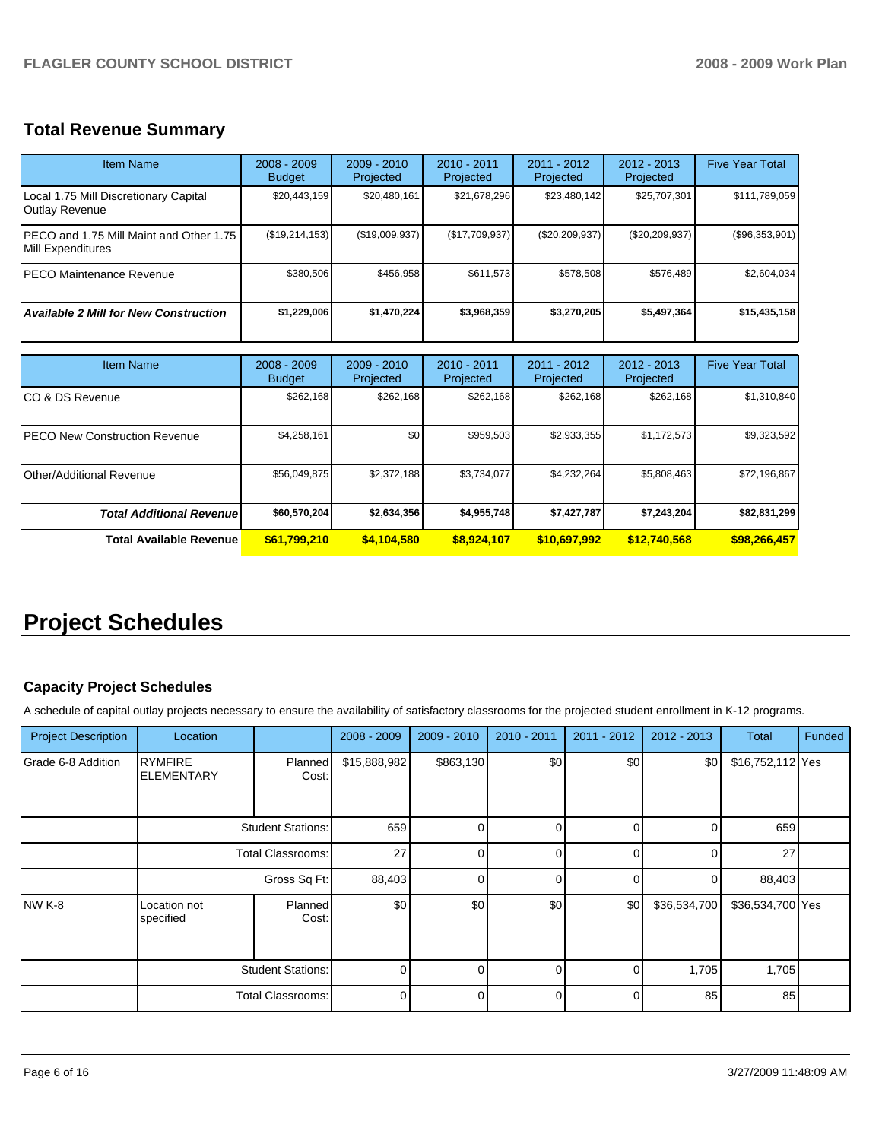# **Total Revenue Summary**

| <b>Item Name</b>                                              | $2008 - 2009$<br><b>Budget</b> | $2009 - 2010$<br>Projected | $2010 - 2011$<br>Projected | $2011 - 2012$<br>Projected | $2012 - 2013$<br>Projected | <b>Five Year Total</b> |
|---------------------------------------------------------------|--------------------------------|----------------------------|----------------------------|----------------------------|----------------------------|------------------------|
| Local 1.75 Mill Discretionary Capital<br>Outlay Revenue       | \$20,443,159                   | \$20,480,161               | \$21,678,296               | \$23,480,142               | \$25,707,301               | \$111,789,059          |
| IPECO and 1.75 Mill Maint and Other 1.75<br>Mill Expenditures | (\$19,214,153)                 | (\$19,009,937)             | (\$17,709,937)             | $(\$20, 209, 937)$         | $(\$20,209,937)$           | (\$96,353,901)         |
| IPECO Maintenance Revenue                                     | \$380,506                      | \$456,958                  | \$611.573                  | \$578,508                  | \$576,489                  | \$2,604,034            |
| <b>Available 2 Mill for New Construction</b>                  | \$1,229,006                    | \$1,470,224                | \$3,968,359                | \$3,270,205                | \$5,497,364                | \$15,435,158           |
|                                                               |                                |                            |                            |                            |                            |                        |
| <b>Item Name</b>                                              | $2008 - 2009$<br><b>Budget</b> | $2009 - 2010$<br>Projected | 2010 - 2011<br>Projected   | $2011 - 2012$<br>Projected | $2012 - 2013$<br>Projected | <b>Five Year Total</b> |

| item Name                         | 2008 - 2009<br><b>Budget</b> | 2009 - 2010<br>Projected | ZUTU - ZUTT<br>Projected | ZUTT - ZUTZ<br>Projected | 2012 - 2013<br>Projected | Five rear Total |
|-----------------------------------|------------------------------|--------------------------|--------------------------|--------------------------|--------------------------|-----------------|
| ICO & DS Revenue                  | \$262,168                    | \$262,168                | \$262.168                | \$262,168                | \$262,168                | \$1,310,840     |
| IPECO New Construction Revenue    | \$4,258,161                  | \$0 <sub>1</sub>         | \$959,503                | \$2,933,355              | \$1,172,573              | \$9,323,592     |
| <b>I</b> Other/Additional Revenue | \$56,049,875                 | \$2,372,188              | \$3,734,077              | \$4,232,264              | \$5,808,463              | \$72,196,867    |
| <b>Total Additional Revenuel</b>  | \$60,570,204                 | \$2,634,356              | \$4,955,748              | \$7,427,787              | \$7,243,204              | \$82,831,299    |
| Total Available Revenue           | \$61,799,210                 | \$4,104,580              | \$8,924,107              | \$10.697.992             | \$12,740,568             | \$98,266,457    |

# **Project Schedules**

# **Capacity Project Schedules**

A schedule of capital outlay projects necessary to ensure the availability of satisfactory classrooms for the projected student enrollment in K-12 programs.

| <b>Project Description</b> | Location                            |                          | $2008 - 2009$ | 2009 - 2010  | 2010 - 2011 | 2011 - 2012    | 2012 - 2013  | Total            | Funded |
|----------------------------|-------------------------------------|--------------------------|---------------|--------------|-------------|----------------|--------------|------------------|--------|
| Grade 6-8 Addition         | <b>RYMFIRE</b><br><b>ELEMENTARY</b> | Planned<br>Cost:         | \$15,888,982  | \$863,130    | \$0         | \$0            | \$0          | \$16,752,112 Yes |        |
|                            |                                     | <b>Student Stations:</b> | 659           | <sup>0</sup> | 0           | $\Omega$       | $\Omega$     | 659              |        |
|                            |                                     | <b>Total Classrooms:</b> | 27            | $\Omega$     | 0           | $\overline{0}$ | $\Omega$     | 27               |        |
|                            | Gross Sq Ft:                        |                          | 88,403        | $\Omega$     | $\Omega$    | $\Omega$       | $\Omega$     | 88,403           |        |
| INW K-8                    | Location not<br>specified           | Planned<br>Cost:         | \$0           | \$0          | \$0         | \$0            | \$36,534,700 | \$36,534,700 Yes |        |
|                            | <b>Student Stations:</b>            |                          | 0             | 0            | $\Omega$    | $\overline{0}$ | 1,705        | 1,705            |        |
|                            |                                     | Total Classrooms:        | $\Omega$      | U            | $\Omega$    | $\Omega$       | 85           | 85               |        |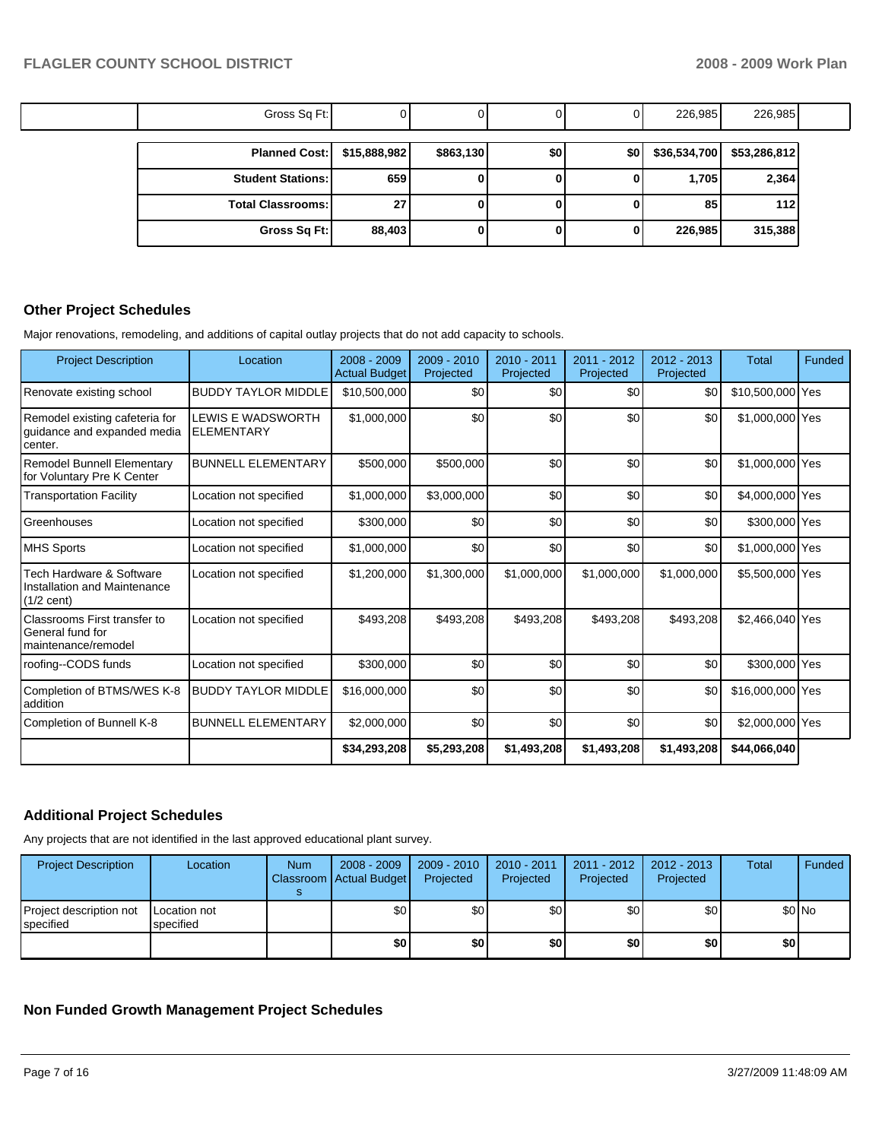| Gross Sq Ft:             |              |           |     |     | 226,985      | 226,985      |  |
|--------------------------|--------------|-----------|-----|-----|--------------|--------------|--|
| <b>Planned Cost:</b>     | \$15,888,982 | \$863,130 | \$0 | \$0 | \$36,534,700 | \$53,286,812 |  |
| <b>Student Stations:</b> | 659          | 0         |     |     | 1,705        | 2,364        |  |
| <b>Total Classrooms:</b> | 27           | 0         |     |     | 85           | 112          |  |
| Gross Sq Ft:             | 88,403       | 0         |     |     | 226,985      | 315,388      |  |

## **Other Project Schedules**

Major renovations, remodeling, and additions of capital outlay projects that do not add capacity to schools.

| <b>Project Description</b>                                                       | Location                               | $2008 - 2009$<br><b>Actual Budget</b> | $2009 - 2010$<br>Projected | $2010 - 2011$<br>Projected | $2011 - 2012$<br>Projected | $2012 - 2013$<br>Projected | Total            | Funded |
|----------------------------------------------------------------------------------|----------------------------------------|---------------------------------------|----------------------------|----------------------------|----------------------------|----------------------------|------------------|--------|
| Renovate existing school                                                         | <b>BUDDY TAYLOR MIDDLE</b>             | \$10,500,000                          | \$0                        | \$0                        | \$0                        | \$0                        | \$10,500,000 Yes |        |
| Remodel existing cafeteria for<br>guidance and expanded media<br>center.         | LEWIS E WADSWORTH<br><b>ELEMENTARY</b> | \$1,000,000                           | \$0                        | \$0                        | \$0                        | \$0                        | \$1,000,000 Yes  |        |
| <b>Remodel Bunnell Elementary</b><br>for Voluntary Pre K Center                  | <b>BUNNELL ELEMENTARY</b>              | \$500,000                             | \$500,000                  | \$0                        | \$0                        | \$0                        | \$1,000,000 Yes  |        |
| <b>Transportation Facility</b>                                                   | Location not specified                 | \$1,000,000                           | \$3,000,000                | \$0                        | \$0                        | \$0                        | \$4,000,000 Yes  |        |
| Greenhouses                                                                      | Location not specified                 | \$300,000                             | \$0                        | \$0                        | \$0                        | \$0                        | \$300,000 Yes    |        |
| <b>MHS Sports</b>                                                                | Location not specified                 | \$1,000,000                           | \$0                        | \$0                        | \$0                        | \$0                        | \$1,000,000 Yes  |        |
| Tech Hardware & Software<br>Installation and Maintenance<br>$(1/2 \text{ cent})$ | Location not specified                 | \$1,200,000                           | \$1,300,000                | \$1,000,000                | \$1,000,000                | \$1,000,000                | \$5,500,000 Yes  |        |
| <b>Classrooms First transfer to</b><br>General fund for<br>maintenance/remodel   | Location not specified                 | \$493,208                             | \$493,208                  | \$493,208                  | \$493,208                  | \$493,208                  | \$2,466,040 Yes  |        |
| roofing--CODS funds                                                              | Location not specified                 | \$300,000                             | \$0                        | \$0                        | \$0                        | \$0                        | \$300,000 Yes    |        |
| Completion of BTMS/WES K-8<br>addition                                           | <b>BUDDY TAYLOR MIDDLE</b>             | \$16,000,000                          | \$0                        | \$0                        | \$0                        | \$0                        | \$16,000,000 Yes |        |
| Completion of Bunnell K-8                                                        | <b>BUNNELL ELEMENTARY</b>              | \$2,000,000                           | \$0                        | \$0                        | \$0                        | \$0                        | \$2,000,000 Yes  |        |
|                                                                                  |                                        | \$34,293,208                          | \$5,293,208                | \$1,493,208                | \$1,493,208                | \$1,493,208                | \$44,066,040     |        |

# **Additional Project Schedules**

Any projects that are not identified in the last approved educational plant survey.

| <b>Project Description</b>           | Location                  | <b>Num</b> | 2008 - 2009<br>Classroom Actual Budget | 2009 - 2010<br>Projected | $2010 - 2011$<br>Projected | $2011 - 2012$<br>Projected | 2012 - 2013  <br>Projected | Total | Funded  |
|--------------------------------------|---------------------------|------------|----------------------------------------|--------------------------|----------------------------|----------------------------|----------------------------|-------|---------|
| Project description not<br>specified | Location not<br>specified |            | \$0                                    | \$0                      | \$0                        | \$0                        | \$0                        |       | $$0$ No |
|                                      |                           |            | \$0                                    | \$0                      | \$0                        | \$0                        | \$0                        | \$0   |         |

# **Non Funded Growth Management Project Schedules**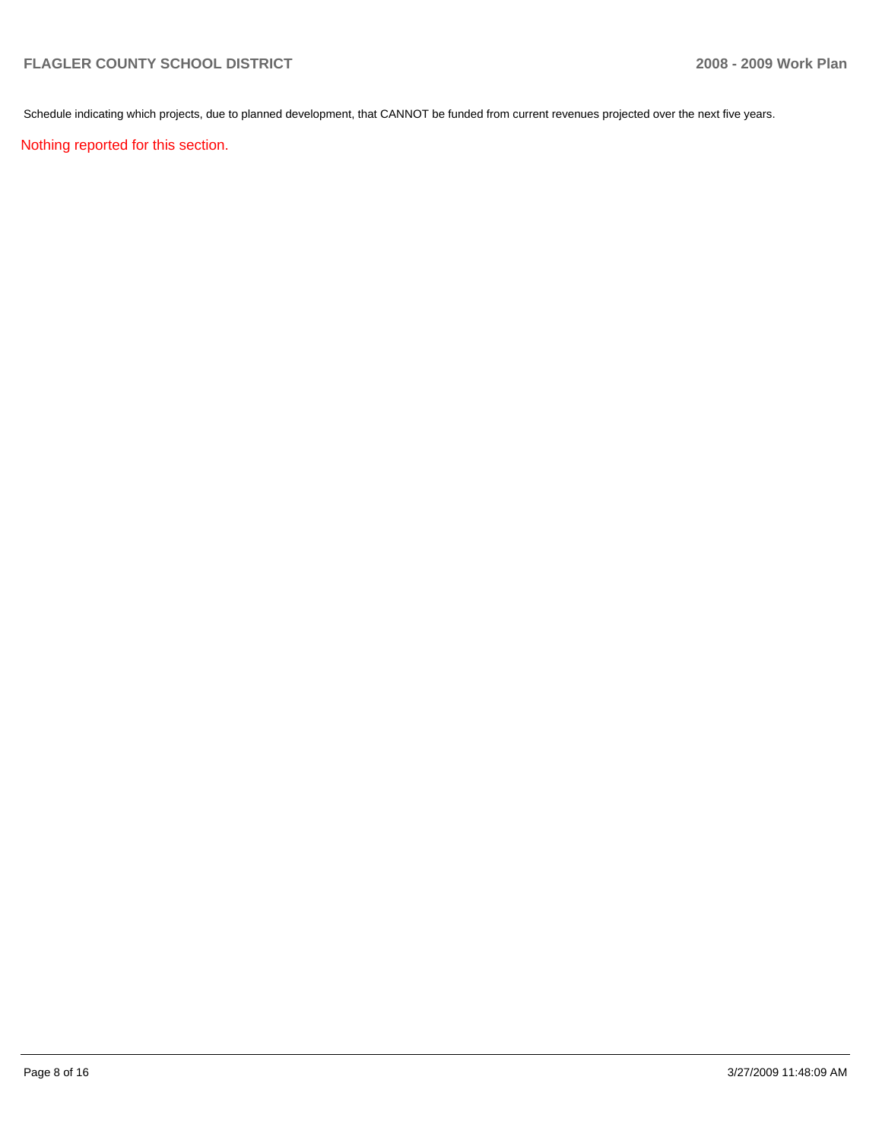Schedule indicating which projects, due to planned development, that CANNOT be funded from current revenues projected over the next five years.

Nothing reported for this section.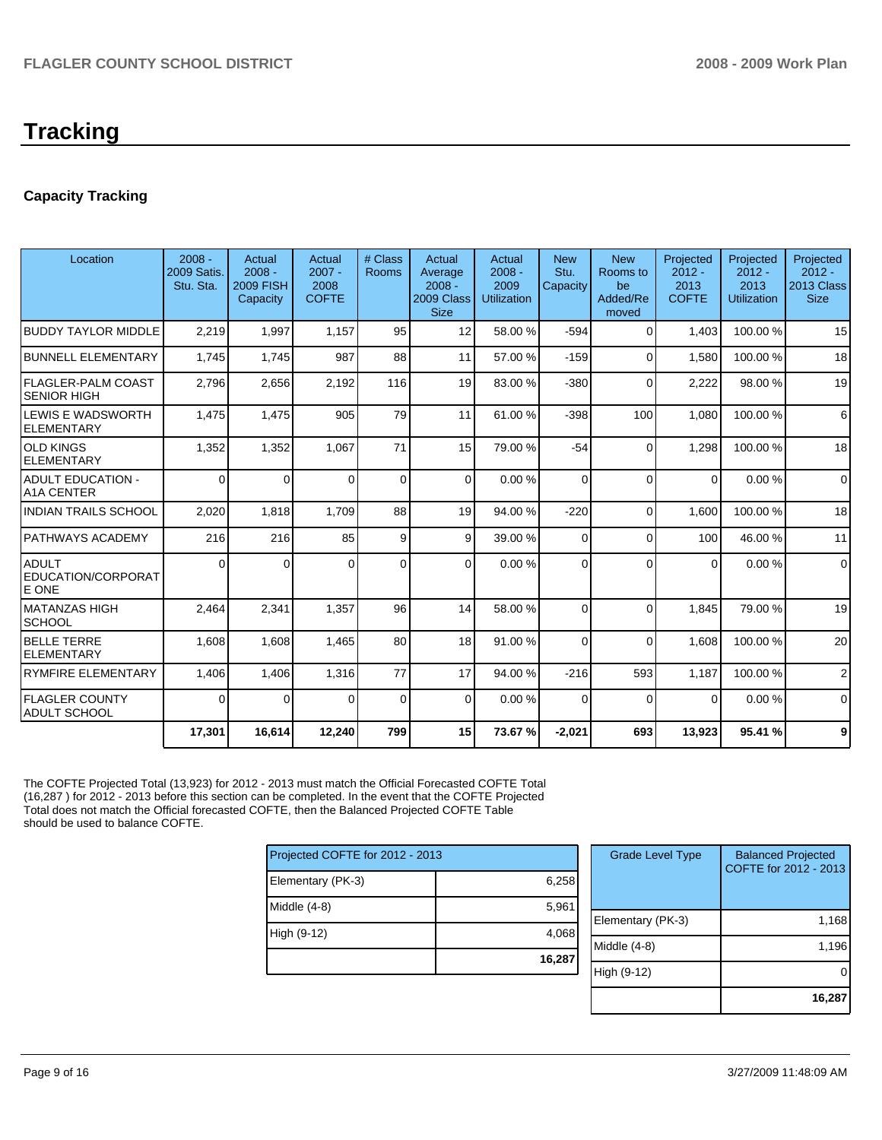# **Tracking**

# **Capacity Tracking**

| Location                                        | $2008 -$<br><b>2009 Satis.</b><br>Stu. Sta. | Actual<br>$2008 -$<br><b>2009 FISH</b><br>Capacity | Actual<br>$2007 -$<br>2008<br><b>COFTE</b> | # Class<br><b>Rooms</b> | Actual<br>Average<br>$2008 -$<br>2009 Class<br><b>Size</b> | Actual<br>$2008 -$<br>2009<br><b>Utilization</b> | <b>New</b><br>Stu.<br>Capacity | <b>New</b><br>Rooms to<br>be<br>Added/Re<br>moved | Projected<br>$2012 -$<br>2013<br><b>COFTE</b> | Projected<br>$2012 -$<br>2013<br><b>Utilization</b> | Projected<br>$2012 -$<br>2013 Class<br><b>Size</b> |
|-------------------------------------------------|---------------------------------------------|----------------------------------------------------|--------------------------------------------|-------------------------|------------------------------------------------------------|--------------------------------------------------|--------------------------------|---------------------------------------------------|-----------------------------------------------|-----------------------------------------------------|----------------------------------------------------|
| <b>BUDDY TAYLOR MIDDLE</b>                      | 2,219                                       | 1,997                                              | 1.157                                      | 95                      | 12                                                         | 58.00 %                                          | $-594$                         | $\Omega$                                          | 1.403                                         | 100.00%                                             | 15                                                 |
| <b>BUNNELL ELEMENTARY</b>                       | 1,745                                       | 1.745                                              | 987                                        | 88                      | 11                                                         | 57.00 %                                          | $-159$                         | $\Omega$                                          | 1.580                                         | 100.00%                                             | 18                                                 |
| <b>FLAGLER-PALM COAST</b><br><b>SENIOR HIGH</b> | 2,796                                       | 2,656                                              | 2,192                                      | 116                     | 19                                                         | 83.00 %                                          | $-380$                         | $\Omega$                                          | 2,222                                         | 98.00 %                                             | 19                                                 |
| LEWIS E WADSWORTH<br><b>ELEMENTARY</b>          | 1,475                                       | 1,475                                              | 905                                        | 79                      | 11                                                         | 61.00 %                                          | $-398$                         | 100                                               | 1.080                                         | 100.00%                                             | 6                                                  |
| <b>OLD KINGS</b><br><b>ELEMENTARY</b>           | 1,352                                       | 1,352                                              | 1,067                                      | 71                      | 15                                                         | 79.00 %                                          | $-54$                          | $\Omega$                                          | 1,298                                         | 100.00%                                             | 18                                                 |
| <b>ADULT EDUCATION -</b><br><b>A1A CENTER</b>   | $\Omega$                                    | $\Omega$                                           | $\Omega$                                   | $\Omega$                | $\Omega$                                                   | 0.00%                                            | $\Omega$                       | $\Omega$                                          | $\Omega$                                      | 0.00%                                               | $\Omega$                                           |
| <b>INDIAN TRAILS SCHOOL</b>                     | 2,020                                       | 1,818                                              | 1,709                                      | 88                      | 19                                                         | 94.00 %                                          | $-220$                         | $\Omega$                                          | 1,600                                         | 100.00%                                             | 18                                                 |
| <b>PATHWAYS ACADEMY</b>                         | 216                                         | 216                                                | 85                                         | 9                       | 9                                                          | 39.00 %                                          | $\Omega$                       | $\Omega$                                          | 100                                           | 46.00 %                                             | 11                                                 |
| <b>ADULT</b><br>EDUCATION/CORPORAT<br>E ONE     | $\Omega$                                    | 0                                                  | $\Omega$                                   | $\Omega$                | $\Omega$                                                   | 0.00%                                            | $\Omega$                       | $\Omega$                                          | $\Omega$                                      | 0.00%                                               | $\Omega$                                           |
| MATANZAS HIGH<br><b>SCHOOL</b>                  | 2,464                                       | 2,341                                              | 1,357                                      | 96                      | 14                                                         | 58.00 %                                          | $\Omega$                       | $\Omega$                                          | 1,845                                         | 79.00 %                                             | 19                                                 |
| <b>BELLE TERRE</b><br>ELEMENTARY                | 1,608                                       | 1,608                                              | 1,465                                      | 80                      | 18                                                         | 91.00 %                                          | $\Omega$                       | $\Omega$                                          | 1.608                                         | 100.00%                                             | 20                                                 |
| <b>RYMFIRE ELEMENTARY</b>                       | 1,406                                       | 1,406                                              | 1,316                                      | 77                      | 17                                                         | 94.00 %                                          | $-216$                         | 593                                               | 1,187                                         | 100.00%                                             | 2                                                  |
| <b>FLAGLER COUNTY</b><br><b>ADULT SCHOOL</b>    | $\Omega$                                    | $\Omega$                                           | $\Omega$                                   | $\mathbf 0$             | $\Omega$                                                   | 0.00%                                            | $\Omega$                       | $\Omega$                                          | $\Omega$                                      | 0.00%                                               | $\mathbf 0$                                        |
|                                                 | 17,301                                      | 16,614                                             | 12,240                                     | 799                     | 15                                                         | 73.67 %                                          | $-2,021$                       | 693                                               | 13,923                                        | 95.41 %                                             | 9                                                  |

The COFTE Projected Total (13,923) for 2012 - 2013 must match the Official Forecasted COFTE Total (16,287 ) for 2012 - 2013 before this section can be completed. In the event that the COFTE Projected Total does not match the Official forecasted COFTE, then the Balanced Projected COFTE Table should be used to balance COFTE.

| Projected COFTE for 2012 - 2013 |        |
|---------------------------------|--------|
| Elementary (PK-3)               | 6,258  |
| Middle (4-8)                    | 5,961  |
| High (9-12)                     | 4,068  |
|                                 | 16,287 |

| <b>Grade Level Type</b> | <b>Balanced Projected</b><br>COFTE for 2012 - 2013 |
|-------------------------|----------------------------------------------------|
| Elementary (PK-3)       | 1,168                                              |
| Middle (4-8)            | 1,196                                              |
| High (9-12)             |                                                    |
|                         | 16,287                                             |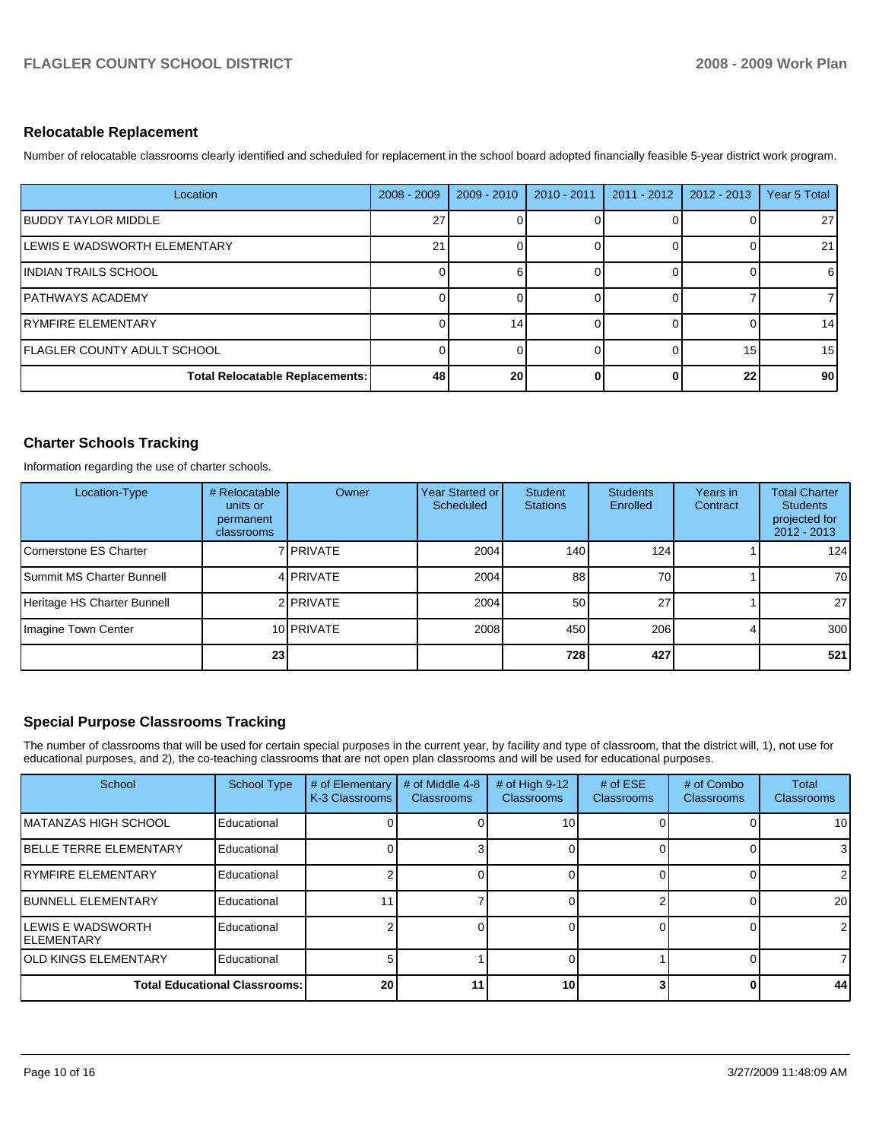## **Relocatable Replacement**

Number of relocatable classrooms clearly identified and scheduled for replacement in the school board adopted financially feasible 5-year district work program.

| Location                        | $2008 - 2009$   | $2009 - 2010$ | $2010 - 2011$ | $2011 - 2012$ | $2012 - 2013$ | Year 5 Total    |
|---------------------------------|-----------------|---------------|---------------|---------------|---------------|-----------------|
| <b>IBUDDY TAYLOR MIDDLE</b>     | 27 <sub>1</sub> |               |               |               |               | 27              |
| LEWIS E WADSWORTH ELEMENTARY    | 21              |               |               |               |               | 21              |
| IINDIAN TRAILS SCHOOL           | 0               |               |               |               |               | 6               |
| IPATHWAYS ACADEMY               | 0               |               |               |               |               | 7               |
| IRYMFIRE ELEMENTARY             | 0               | 14            |               |               |               | 14              |
| IFLAGLER COUNTY ADULT SCHOOL    | 0               |               |               |               | 15            | 15 <sup>1</sup> |
| Total Relocatable Replacements: | 48              | 20            |               |               | 22            | 90 <sub>1</sub> |

# **Charter Schools Tracking**

Information regarding the use of charter schools.

| Location-Type                    | # Relocatable<br>units or<br>permanent<br>classrooms | Owner       | <b>Year Started or I</b><br>Scheduled | Student<br><b>Stations</b> | <b>Students</b><br>Enrolled | Years in<br>Contract | <b>Total Charter</b><br><b>Students</b><br>projected for<br>$2012 - 2013$ |
|----------------------------------|------------------------------------------------------|-------------|---------------------------------------|----------------------------|-----------------------------|----------------------|---------------------------------------------------------------------------|
| Cornerstone ES Charter           |                                                      | 7 I PRIVATE | 2004                                  | 140                        | 124                         |                      | 124                                                                       |
| <b>Summit MS Charter Bunnell</b> |                                                      | 4 PRIVATE   | 2004                                  | 88                         | 70                          |                      | 70                                                                        |
| Heritage HS Charter Bunnell      |                                                      | 2 PRIVATE   | 2004                                  | 50                         | 27                          |                      | 27 <sup>1</sup>                                                           |
| Imagine Town Center              |                                                      | 10 PRIVATE  | 2008                                  | 450                        | 206                         |                      | 300                                                                       |
|                                  | 23                                                   |             |                                       | 728                        | 427                         |                      | 521                                                                       |

# **Special Purpose Classrooms Tracking**

The number of classrooms that will be used for certain special purposes in the current year, by facility and type of classroom, that the district will, 1), not use for educational purposes, and 2), the co-teaching classrooms that are not open plan classrooms and will be used for educational purposes.

| School                                          | <b>School Type</b> | # of Elementary<br>K-3 Classrooms | # of Middle 4-8<br><b>Classrooms</b> | # of High 9-12<br>Classrooms | # of $ESE$<br><b>Classrooms</b> | # of Combo<br><b>Classrooms</b> | Total<br><b>Classrooms</b> |
|-------------------------------------------------|--------------------|-----------------------------------|--------------------------------------|------------------------------|---------------------------------|---------------------------------|----------------------------|
| <b>IMATANZAS HIGH SCHOOL</b>                    | Educational        |                                   |                                      | 10                           |                                 |                                 | 10 <sup>1</sup>            |
| <b>IBELLE TERRE ELEMENTARY</b>                  | Educational        |                                   |                                      |                              |                                 |                                 | 3                          |
| <b>IRYMFIRE ELEMENTARY</b>                      | Educational        |                                   |                                      |                              |                                 |                                 | ا 2                        |
| <b>IBUNNELL ELEMENTARY</b>                      | Educational        |                                   |                                      |                              |                                 |                                 | 20 <sub>l</sub>            |
| <b>ILEWIS E WADSWORTH</b><br><b>IELEMENTARY</b> | Educational        |                                   |                                      |                              |                                 |                                 | $\overline{2}$             |
| <b>JOLD KINGS ELEMENTARY</b>                    | Educational        |                                   |                                      |                              |                                 |                                 |                            |
| <b>Total Educational Classrooms:</b>            |                    | 20                                | 11.                                  | 10                           |                                 |                                 | 44                         |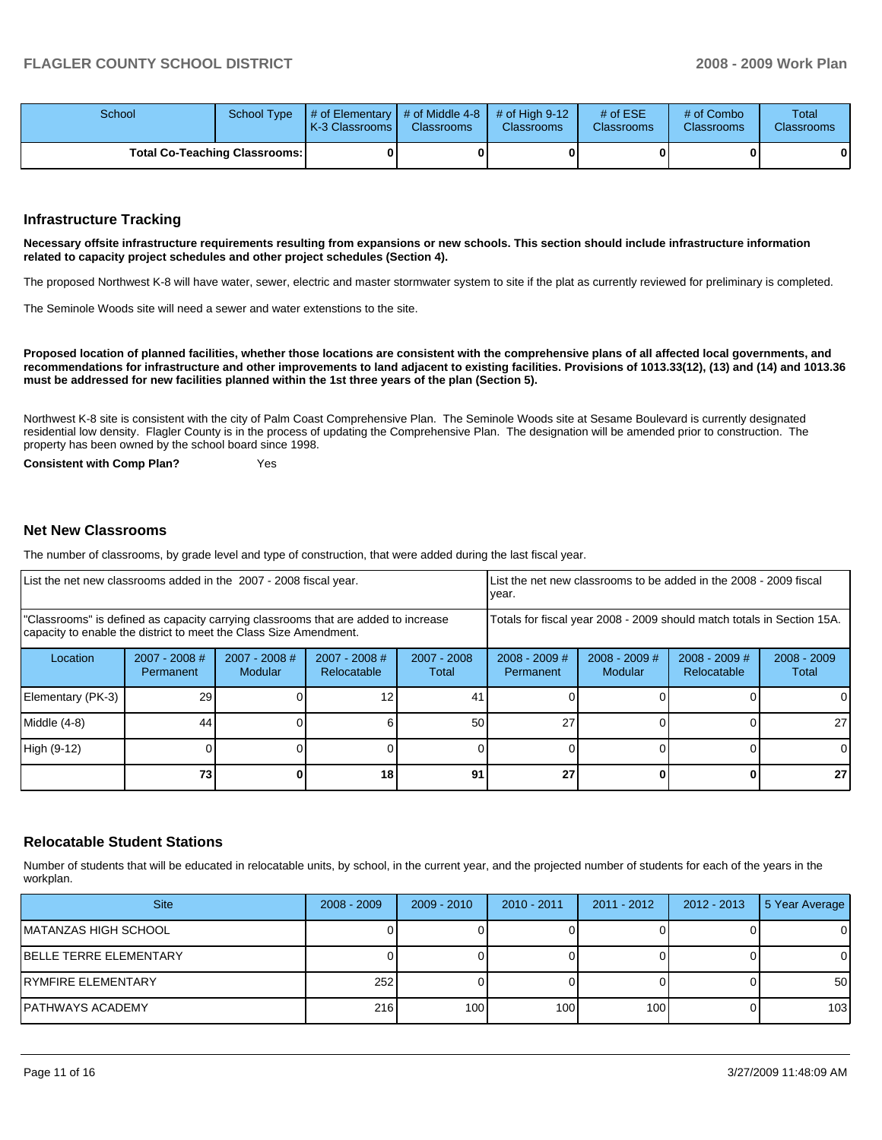| School                               | School Type | $\parallel$ # of Elementary $\parallel$ # of Middle 4-8 $\parallel$ # of High 9-12<br><b>K-3 Classrooms I</b> | <b>Classrooms</b> | <b>Classrooms</b> | # of $ESE$<br><b>Classrooms</b> | # of Combo<br><b>Classrooms</b> | Total<br><b>Classrooms</b> |
|--------------------------------------|-------------|---------------------------------------------------------------------------------------------------------------|-------------------|-------------------|---------------------------------|---------------------------------|----------------------------|
| <b>Total Co-Teaching Classrooms:</b> |             |                                                                                                               |                   |                   |                                 | 0                               | 0                          |

#### **Infrastructure Tracking**

**Necessary offsite infrastructure requirements resulting from expansions or new schools. This section should include infrastructure information related to capacity project schedules and other project schedules (Section 4).** 

The proposed Northwest K-8 will have water, sewer, electric and master stormwater system to site if the plat as currently reviewed for preliminary is completed.

The Seminole Woods site will need a sewer and water extenstions to the site.

**Proposed location of planned facilities, whether those locations are consistent with the comprehensive plans of all affected local governments, and recommendations for infrastructure and other improvements to land adjacent to existing facilities. Provisions of 1013.33(12), (13) and (14) and 1013.36 must be addressed for new facilities planned within the 1st three years of the plan (Section 5).** 

Northwest K-8 site is consistent with the city of Palm Coast Comprehensive Plan. The Seminole Woods site at Sesame Boulevard is currently designated residential low density. Flagler County is in the process of updating the Comprehensive Plan. The designation will be amended prior to construction. The property has been owned by the school board since 1998.

**Consistent with Comp Plan?** Yes

## **Net New Classrooms**

The number of classrooms, by grade level and type of construction, that were added during the last fiscal year.

| List the net new classrooms added in the 2007 - 2008 fiscal year.                                                                                       |                                                                        |                            |                                |                        |                              | List the net new classrooms to be added in the 2008 - 2009 fiscal<br>year. |                                |                        |  |
|---------------------------------------------------------------------------------------------------------------------------------------------------------|------------------------------------------------------------------------|----------------------------|--------------------------------|------------------------|------------------------------|----------------------------------------------------------------------------|--------------------------------|------------------------|--|
| "Classrooms" is defined as capacity carrying classrooms that are added to increase<br>capacity to enable the district to meet the Class Size Amendment. | Totals for fiscal year 2008 - 2009 should match totals in Section 15A. |                            |                                |                        |                              |                                                                            |                                |                        |  |
| Location                                                                                                                                                | $2007 - 2008$ #<br>Permanent                                           | $2007 - 2008$ #<br>Modular | $2007 - 2008$ #<br>Relocatable | $2007 - 2008$<br>Total | $2008 - 2009$ #<br>Permanent | $2008 - 2009$ #<br><b>Modular</b>                                          | $2008 - 2009$ #<br>Relocatable | $2008 - 2009$<br>Total |  |
| Elementary (PK-3)                                                                                                                                       | 29                                                                     |                            |                                | 41                     |                              |                                                                            |                                | 0                      |  |
| Middle (4-8)                                                                                                                                            | 44                                                                     |                            |                                | 50 <sub>1</sub>        | 27                           |                                                                            |                                | 27                     |  |
| High (9-12)                                                                                                                                             |                                                                        |                            |                                |                        |                              |                                                                            |                                | 0                      |  |
|                                                                                                                                                         | 73                                                                     |                            | 18                             | 91                     | 27                           |                                                                            |                                | 27                     |  |

### **Relocatable Student Stations**

Number of students that will be educated in relocatable units, by school, in the current year, and the projected number of students for each of the years in the workplan.

| <b>Site</b>                    | $2008 - 2009$ | $2009 - 2010$ | $2010 - 2011$ | $2011 - 2012$ | 2012 - 2013 | 5 Year Average |
|--------------------------------|---------------|---------------|---------------|---------------|-------------|----------------|
| IMATANZAS HIGH SCHOOL          |               |               |               |               |             | 0              |
| <b>IBELLE TERRE ELEMENTARY</b> |               |               |               |               |             | 0              |
| <b>IRYMFIRE ELEMENTARY</b>     | 252           |               |               |               |             | 50             |
| IPATHWAYS ACADEMY              | 216           | 100           | 100           | 100           |             | 103            |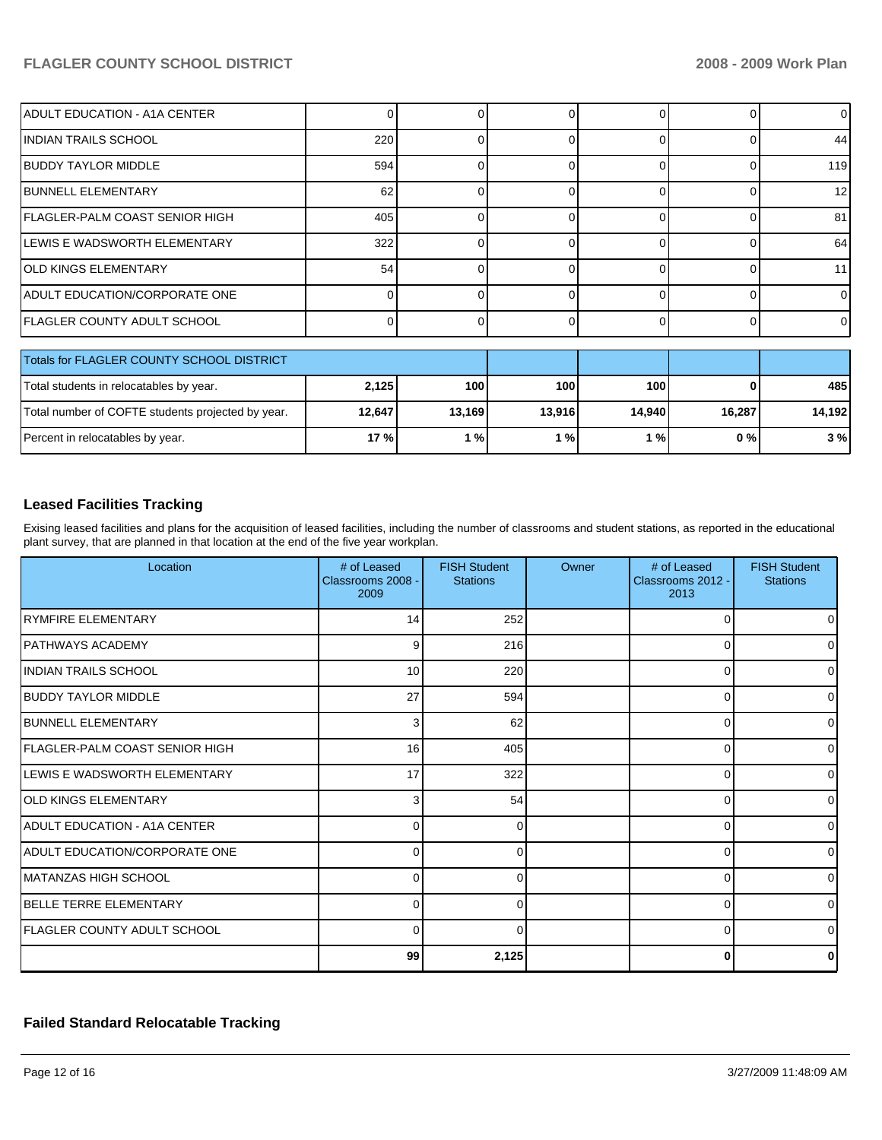# **FLAGLER COUNTY SCHOOL DISTRICT 2008 - 2009 Work Plan**

| ADULT EDUCATION - A1A CENTER                      |          |        |        | ∩        |              | 0      |
|---------------------------------------------------|----------|--------|--------|----------|--------------|--------|
| IINDIAN TRAILS SCHOOL                             | 220      | ი      | 0      | $\Omega$ |              | 44     |
| <b>BUDDY TAYLOR MIDDLE</b>                        | 594      | ი      |        | $\Omega$ |              | 119    |
| <b>IBUNNELL ELEMENTARY</b>                        | 62       | ∩      |        | $\Omega$ |              | 12     |
| FLAGLER-PALM COAST SENIOR HIGH                    | 405      |        |        | O        | ∩            | 81     |
| <b>I</b> LEWIS E WADSWORTH ELEMENTARY             | 322      | U      | 0      | $\Omega$ | <sup>0</sup> | 64     |
| <b>OLD KINGS ELEMENTARY</b>                       | 54       | ი      | 0      | $\Omega$ | 0            | 11     |
| <b>ADULT EDUCATION/CORPORATE ONE</b>              | $\Omega$ | ი      | ŋ      | $\Omega$ | 0            | 0      |
| <b>FLAGLER COUNTY ADULT SCHOOL</b>                | $\Omega$ |        |        | $\Omega$ | <sup>0</sup> | 0      |
|                                                   |          |        |        |          |              |        |
| Totals for FLAGLER COUNTY SCHOOL DISTRICT         |          |        |        |          |              |        |
| Total students in relocatables by year.           | 2,125    | 100    | 100    | 100      |              | 485    |
| Total number of COFTE students projected by year. | 12,647   | 13,169 | 13,916 | 14,940   | 16,287       | 14,192 |
| Percent in relocatables by year.                  | 17 %     | 1%     | 1%     | 1%       | $0\%$        | 3%     |

# **Leased Facilities Tracking**

Exising leased facilities and plans for the acquisition of leased facilities, including the number of classrooms and student stations, as reported in the educational plant survey, that are planned in that location at the end of the five year workplan.

| Location                              | # of Leased<br>Classrooms 2008 -<br>2009 | <b>FISH Student</b><br><b>Stations</b> | Owner | # of Leased<br>Classrooms 2012 -<br>2013 | <b>FISH Student</b><br><b>Stations</b> |
|---------------------------------------|------------------------------------------|----------------------------------------|-------|------------------------------------------|----------------------------------------|
| <b>IRYMFIRE ELEMENTARY</b>            | 14                                       | 252                                    |       | $\Omega$                                 |                                        |
| IPATHWAYS ACADEMY                     | 9                                        | 216                                    |       | 0                                        | 0                                      |
| IINDIAN TRAILS SCHOOL                 | 10                                       | 220                                    |       | $\Omega$                                 | $\Omega$                               |
| <b>IBUDDY TAYLOR MIDDLE</b>           | 27                                       | 594                                    |       | $\Omega$                                 | 0                                      |
| <b>IBUNNELL ELEMENTARY</b>            | 3                                        | 62                                     |       | 0                                        | $\Omega$                               |
| <b>FLAGLER-PALM COAST SENIOR HIGH</b> | 16                                       | 405                                    |       | $\Omega$                                 | $\Omega$                               |
| LEWIS E WADSWORTH ELEMENTARY          | 17                                       | 322                                    |       | $\Omega$                                 | 0                                      |
| <b>IOLD KINGS ELEMENTARY</b>          | 3                                        | 54                                     |       | 0                                        | $\Omega$                               |
| ADULT EDUCATION - A1A CENTER          | $\Omega$                                 | ∩                                      |       | $\Omega$                                 | $\Omega$                               |
| ADULT EDUCATION/CORPORATE ONE         | 0                                        | 0                                      |       | $\Omega$                                 | 0                                      |
| IMATANZAS HIGH SCHOOL                 | 0                                        | 0                                      |       | $\Omega$                                 | 0                                      |
| <b>BELLE TERRE ELEMENTARY</b>         | $\Omega$                                 | ∩                                      |       | $\Omega$                                 | $\Omega$                               |
| <b>FLAGLER COUNTY ADULT SCHOOL</b>    | $\Omega$                                 | ∩                                      |       | $\Omega$                                 | 0                                      |
|                                       | 99                                       | 2,125                                  |       | 0                                        |                                        |

# **Failed Standard Relocatable Tracking**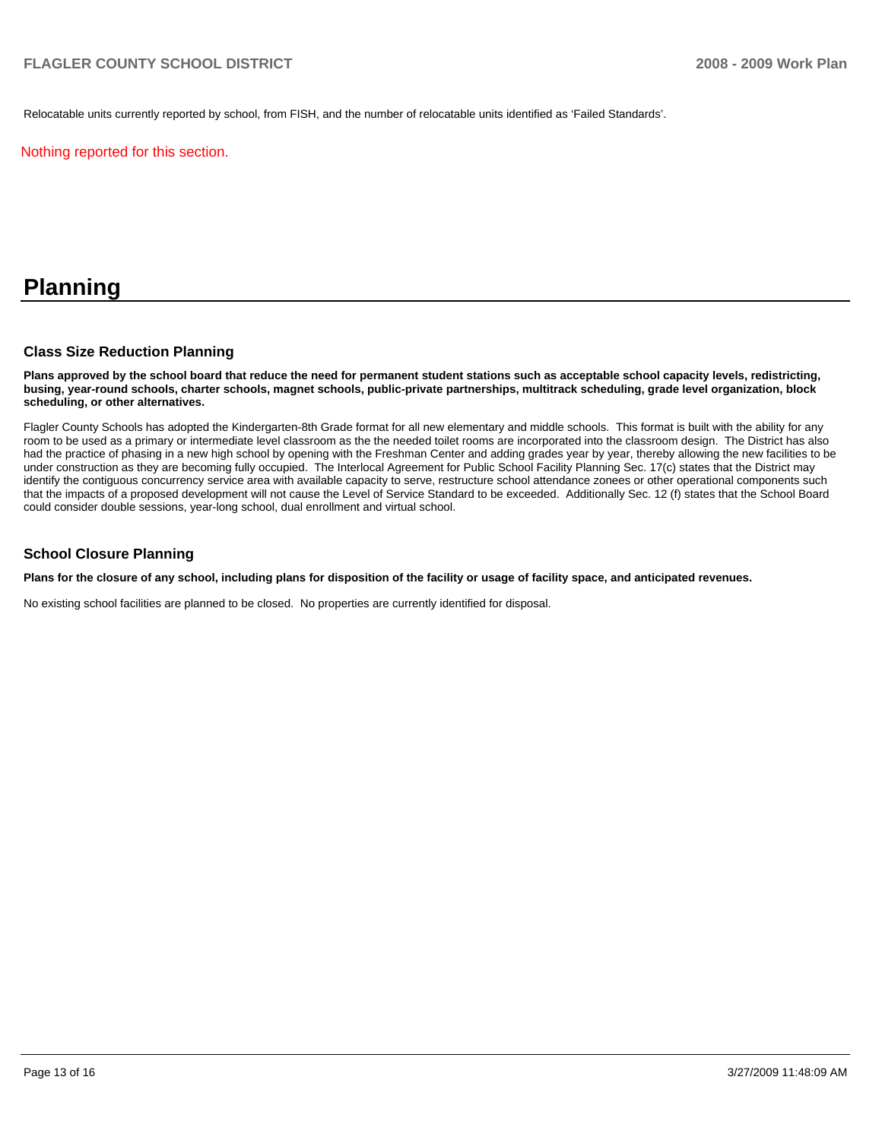Relocatable units currently reported by school, from FISH, and the number of relocatable units identified as 'Failed Standards'.

Nothing reported for this section.

# **Planning**

### **Class Size Reduction Planning**

**Plans approved by the school board that reduce the need for permanent student stations such as acceptable school capacity levels, redistricting, busing, year-round schools, charter schools, magnet schools, public-private partnerships, multitrack scheduling, grade level organization, block scheduling, or other alternatives.** 

Flagler County Schools has adopted the Kindergarten-8th Grade format for all new elementary and middle schools. This format is built with the ability for any room to be used as a primary or intermediate level classroom as the the needed toilet rooms are incorporated into the classroom design. The District has also had the practice of phasing in a new high school by opening with the Freshman Center and adding grades year by year, thereby allowing the new facilities to be under construction as they are becoming fully occupied. The Interlocal Agreement for Public School Facility Planning Sec. 17(c) states that the District may identify the contiguous concurrency service area with available capacity to serve, restructure school attendance zonees or other operational components such that the impacts of a proposed development will not cause the Level of Service Standard to be exceeded. Additionally Sec. 12 (f) states that the School Board could consider double sessions, year-long school, dual enrollment and virtual school.

#### **School Closure Planning**

**Plans for the closure of any school, including plans for disposition of the facility or usage of facility space, and anticipated revenues.** 

No existing school facilities are planned to be closed. No properties are currently identified for disposal.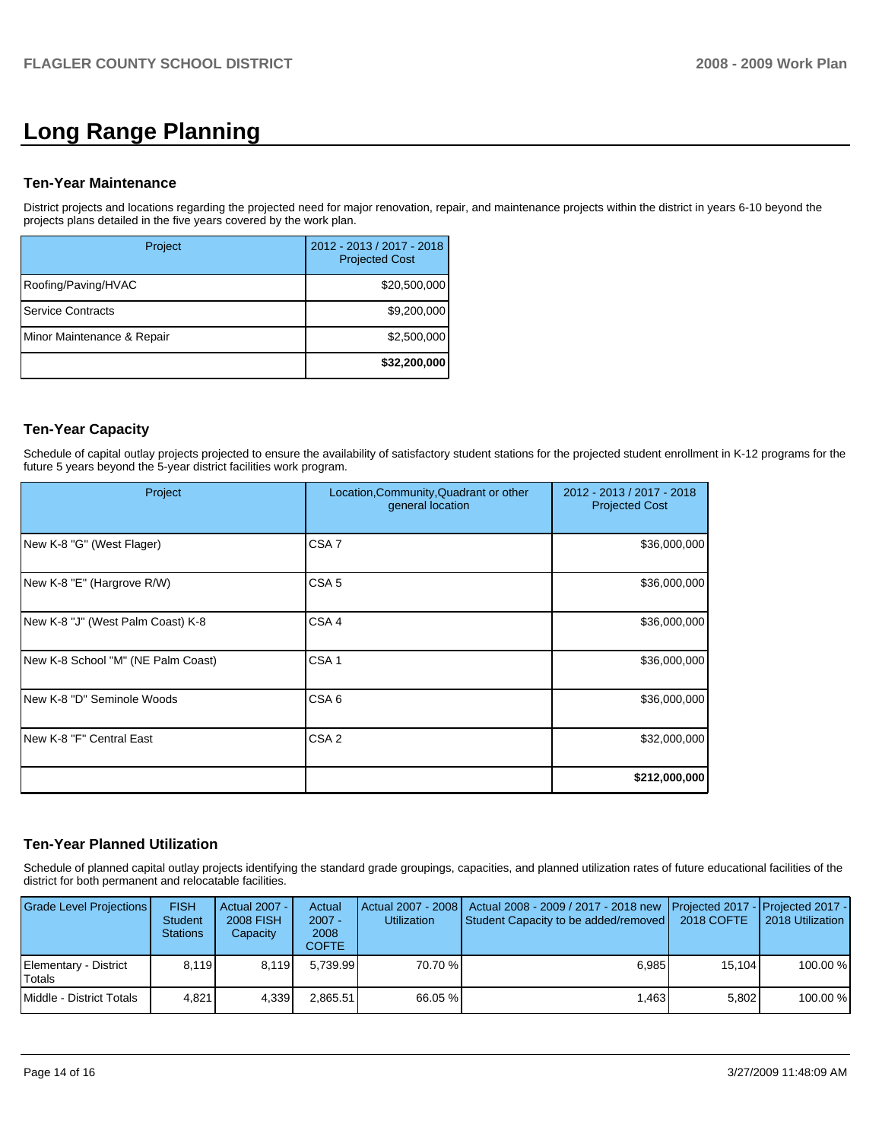# **Long Range Planning**

### **Ten-Year Maintenance**

District projects and locations regarding the projected need for major renovation, repair, and maintenance projects within the district in years 6-10 beyond the projects plans detailed in the five years covered by the work plan.

| Project                    | 2012 - 2013 / 2017 - 2018<br><b>Projected Cost</b> |
|----------------------------|----------------------------------------------------|
| Roofing/Paving/HVAC        | \$20,500,000                                       |
| <b>Service Contracts</b>   | \$9,200,000                                        |
| Minor Maintenance & Repair | \$2,500,000                                        |
|                            | \$32,200,000                                       |

## **Ten-Year Capacity**

Schedule of capital outlay projects projected to ensure the availability of satisfactory student stations for the projected student enrollment in K-12 programs for the future 5 years beyond the 5-year district facilities work program.

| Project                            | Location, Community, Quadrant or other<br>general location | 2012 - 2013 / 2017 - 2018<br><b>Projected Cost</b> |
|------------------------------------|------------------------------------------------------------|----------------------------------------------------|
| New K-8 "G" (West Flager)          | CSA <sub>7</sub>                                           | \$36,000,000                                       |
| New K-8 "E" (Hargrove R/W)         | CSA <sub>5</sub>                                           | \$36,000,000                                       |
| New K-8 "J" (West Palm Coast) K-8  | CSA <sub>4</sub>                                           | \$36,000,000                                       |
| New K-8 School "M" (NE Palm Coast) | CSA <sub>1</sub>                                           | \$36,000,000                                       |
| INew K-8 "D" Seminole Woods        | CSA <sub>6</sub>                                           | \$36,000,000                                       |
| New K-8 "F" Central East           | CSA <sub>2</sub>                                           | \$32,000,000                                       |
|                                    |                                                            | \$212,000,000                                      |

### **Ten-Year Planned Utilization**

Schedule of planned capital outlay projects identifying the standard grade groupings, capacities, and planned utilization rates of future educational facilities of the district for both permanent and relocatable facilities.

| Grade Level Projections         | <b>FISH</b><br><b>Student</b><br><b>Stations</b> | Actual 2007 -<br><b>2008 FISH</b><br>Capacity | Actual<br>$2007 -$<br>2008<br>COFTE | <b>Utilization</b> | Actual 2007 - 2008   Actual 2008 - 2009 / 2017 - 2018 new   Projected 2017 -   Projected 2017 -  <br>Student Capacity to be added/removed | 2018 COFTE | 2018 Utilization |
|---------------------------------|--------------------------------------------------|-----------------------------------------------|-------------------------------------|--------------------|-------------------------------------------------------------------------------------------------------------------------------------------|------------|------------------|
| Elementary - District<br>Totals | 8.119                                            | 8.119                                         | 5.739.99                            | 70.70 %            | 6.985                                                                                                                                     | 15.104     | 100.00 %         |
| Middle - District Totals        | 4.821                                            | 4.339                                         | 2.865.51                            | 66.05 %            | 1.463                                                                                                                                     | 5.802      | 100.00 %         |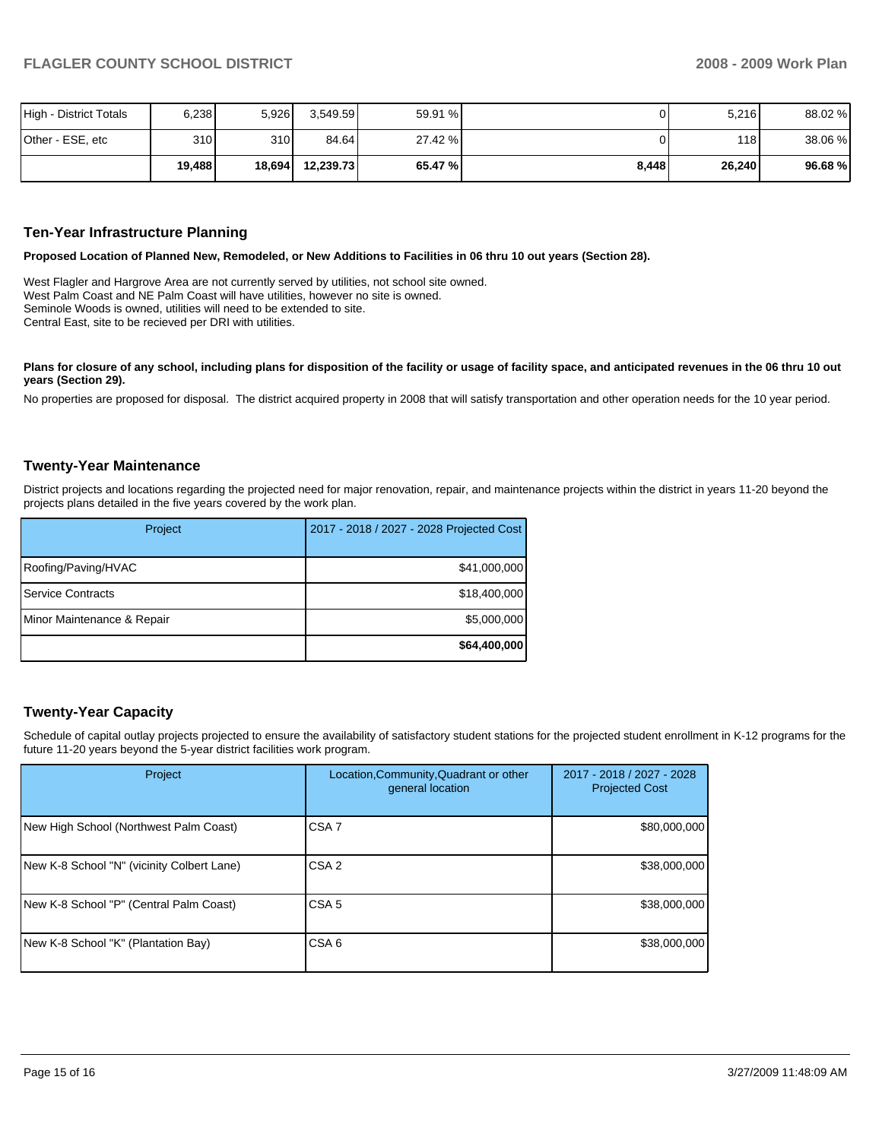| High - District Totals | 6,238            | 5,926            | 3.549.59  | 59.91 % |       | 5,216  | 88.02 % |
|------------------------|------------------|------------------|-----------|---------|-------|--------|---------|
| Other - ESE, etc       | 310 <sub>1</sub> | 310 <sup>1</sup> | 84.64     | 27.42 % |       | 118 I  | 38.06 % |
|                        | 19,488           | 18,694           | 12.239.73 | 65.47 % | 8,448 | 26,240 | 96.68 % |

#### **Ten-Year Infrastructure Planning**

**Proposed Location of Planned New, Remodeled, or New Additions to Facilities in 06 thru 10 out years (Section 28).** 

West Flagler and Hargrove Area are not currently served by utilities, not school site owned. West Palm Coast and NE Palm Coast will have utilities, however no site is owned. Seminole Woods is owned, utilities will need to be extended to site. Central East, site to be recieved per DRI with utilities.

Plans for closure of any school, including plans for disposition of the facility or usage of facility space, and anticipated revenues in the 06 thru 10 out **years (Section 29).** 

No properties are proposed for disposal. The district acquired property in 2008 that will satisfy transportation and other operation needs for the 10 year period.

#### **Twenty-Year Maintenance**

District projects and locations regarding the projected need for major renovation, repair, and maintenance projects within the district in years 11-20 beyond the projects plans detailed in the five years covered by the work plan.

| Project                    | 2017 - 2018 / 2027 - 2028 Projected Cost |
|----------------------------|------------------------------------------|
| Roofing/Paving/HVAC        | \$41,000,000                             |
| <b>I</b> Service Contracts | \$18,400,000                             |
| Minor Maintenance & Repair | \$5,000,000                              |
|                            | \$64,400,000                             |

## **Twenty-Year Capacity**

Schedule of capital outlay projects projected to ensure the availability of satisfactory student stations for the projected student enrollment in K-12 programs for the future 11-20 years beyond the 5-year district facilities work program.

| Project                                    | Location, Community, Quadrant or other<br>general location | 2017 - 2018 / 2027 - 2028<br><b>Projected Cost</b> |
|--------------------------------------------|------------------------------------------------------------|----------------------------------------------------|
| New High School (Northwest Palm Coast)     | CSA <sub>7</sub>                                           | \$80,000,000                                       |
| New K-8 School "N" (vicinity Colbert Lane) | CSA <sub>2</sub>                                           | \$38,000,000                                       |
| New K-8 School "P" (Central Palm Coast)    | CSA <sub>5</sub>                                           | \$38,000,000                                       |
| New K-8 School "K" (Plantation Bay)        | CSA <sub>6</sub>                                           | \$38,000,000                                       |